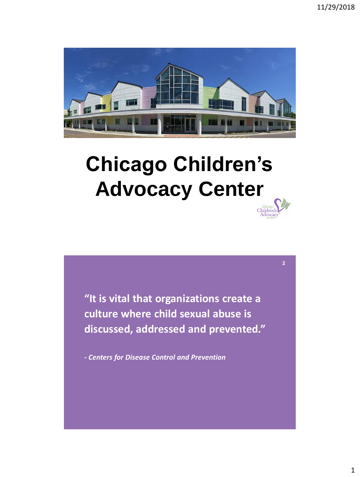**2**



# **Chicago Children's Advocacy Center**

**"It is vital that organizations create a culture where child sexual abuse is discussed, addressed and prevented."**

*- Centers for Disease Control and Prevention*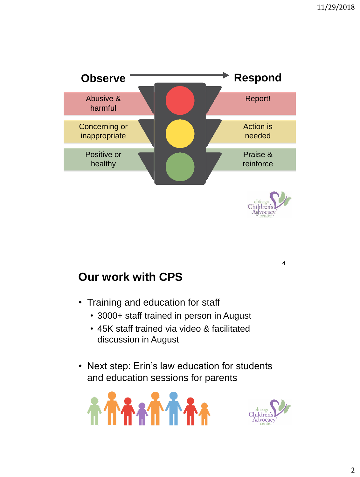

## **Our work with CPS**

- Training and education for staff
	- 3000+ staff trained in person in August
	- 45K staff trained via video & facilitated discussion in August
- Next step: Erin's law education for students and education sessions for parents





**4**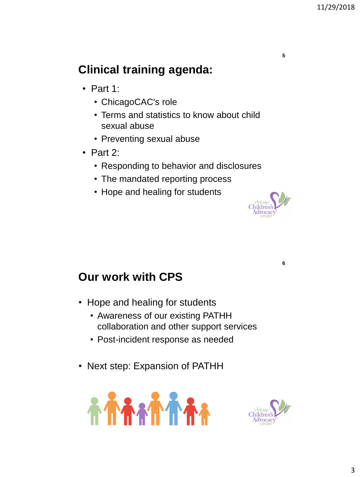## **Clinical training agenda:**

- Part 1:
	- ChicagoCAC's role
	- Terms and statistics to know about child sexual abuse
	- Preventing sexual abuse
- Part 2:
	- Responding to behavior and disclosures
	- The mandated reporting process
	- Hope and healing for students



**6**

**5**

### **Our work with CPS**

- Hope and healing for students
	- Awareness of our existing PATHH collaboration and other support services
	- Post-incident response as needed
- Next step: Expansion of PATHH



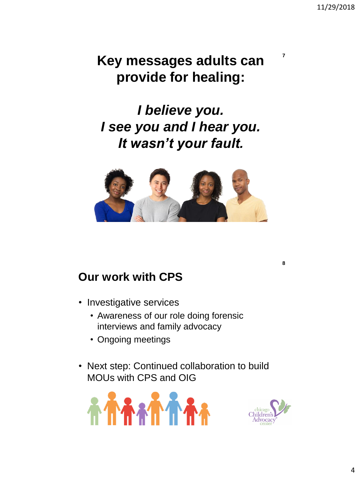**7**

**8**

## **Key messages adults can provide for healing:**

*I believe you. I see you and I hear you. It wasn't your fault.*



### **Our work with CPS**

- Investigative services
	- Awareness of our role doing forensic interviews and family advocacy
	- Ongoing meetings
- Next step: Continued collaboration to build MOUs with CPS and OIG



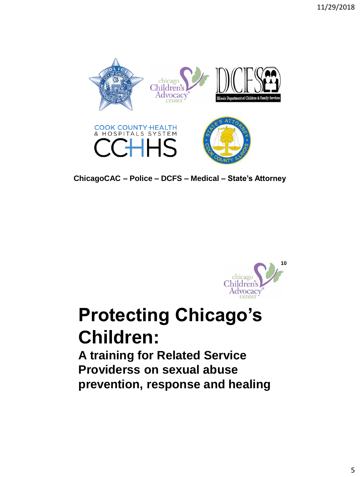

**ChicagoCAC – Police – DCFS – Medical – State's Attorney**



## **Protecting Chicago's Children:**

**A training for Related Service Providerss on sexual abuse prevention, response and healing**